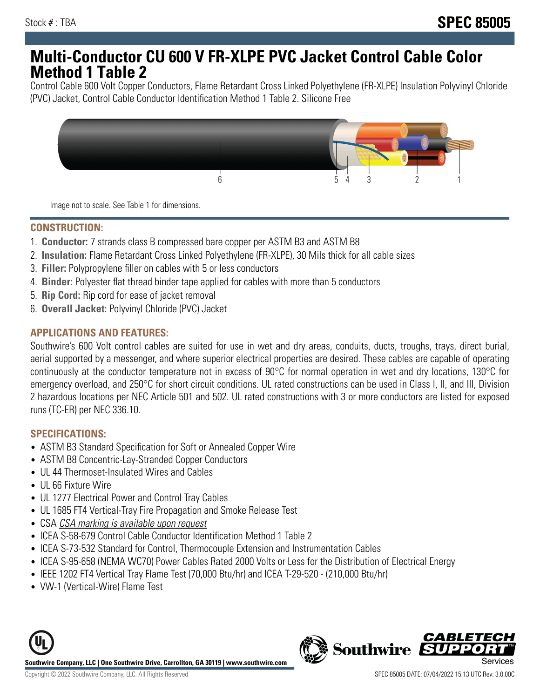## **Multi-Conductor CU 600 V FR-XLPE PVC Jacket Control Cable Color Method 1 Table 2**

Control Cable 600 Volt Copper Conductors, Flame Retardant Cross Linked Polyethylene (FR-XLPE) Insulation Polyvinyl Chloride (PVC) Jacket, Control Cable Conductor Identification Method 1 Table 2. Silicone Free



Image not to scale. See Table 1 for dimensions.

### **CONSTRUCTION:**

- 1. **Conductor:** 7 strands class B compressed bare copper per ASTM B3 and ASTM B8
- 2. **Insulation:** Flame Retardant Cross Linked Polyethylene (FR-XLPE), 30 Mils thick for all cable sizes
- 3. **Filler:** Polypropylene filler on cables with 5 or less conductors
- 4. **Binder:** Polyester flat thread binder tape applied for cables with more than 5 conductors
- 5. **Rip Cord:** Rip cord for ease of jacket removal
- 6. **Overall Jacket:** Polyvinyl Chloride (PVC) Jacket

### **APPLICATIONS AND FEATURES:**

Southwire's 600 Volt control cables are suited for use in wet and dry areas, conduits, ducts, troughs, trays, direct burial, aerial supported by a messenger, and where superior electrical properties are desired. These cables are capable of operating continuously at the conductor temperature not in excess of 90°C for normal operation in wet and dry locations, 130°C for emergency overload, and 250°C for short circuit conditions. UL rated constructions can be used in Class I, II, and III, Division 2 hazardous locations per NEC Article 501 and 502. UL rated constructions with 3 or more conductors are listed for exposed runs (TC-ER) per NEC 336.10.

### **SPECIFICATIONS:**

- ASTM B3 Standard Specification for Soft or Annealed Copper Wire
- ASTM B8 Concentric-Lay-Stranded Copper Conductors
- UL 44 Thermoset-Insulated Wires and Cables
- UL 66 Fixture Wire
- UL 1277 Electrical Power and Control Tray Cables
- UL 1685 FT4 Vertical-Tray Fire Propagation and Smoke Release Test
- CSA CSA marking is available upon request
- ICEA S-58-679 Control Cable Conductor Identification Method 1 Table 2
- ICEA S-73-532 Standard for Control, Thermocouple Extension and Instrumentation Cables
- ICEA S-95-658 (NEMA WC70) Power Cables Rated 2000 Volts or Less for the Distribution of Electrical Energy
- IEEE 1202 FT4 Vertical Tray Flame Test (70,000 Btu/hr) and ICEA T-29-520 (210,000 Btu/hr)
- VW-1 (Vertical-Wire) Flame Test



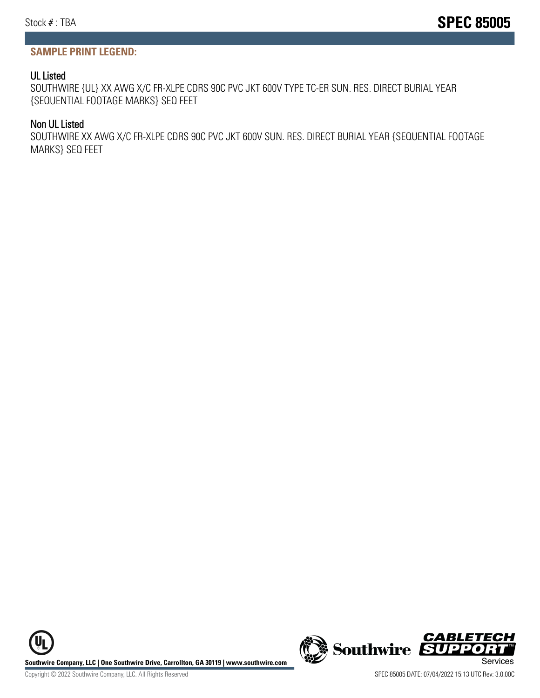### **SAMPLE PRINT LEGEND:**

#### UL Listed

SOUTHWIRE {UL} XX AWG X/C FR-XLPE CDRS 90C PVC JKT 600V TYPE TC-ER SUN. RES. DIRECT BURIAL YEAR {SEQUENTIAL FOOTAGE MARKS} SEQ FEET

#### Non UL Listed

SOUTHWIRE XX AWG X/C FR-XLPE CDRS 90C PVC JKT 600V SUN. RES. DIRECT BURIAL YEAR {SEQUENTIAL FOOTAGE MARKS} SEQ FEET

**Southwire Company, LLC | One Southwire Drive, Carrollton, GA 30119 | www.southwire.com (New Southwire SUPPORTING Services**